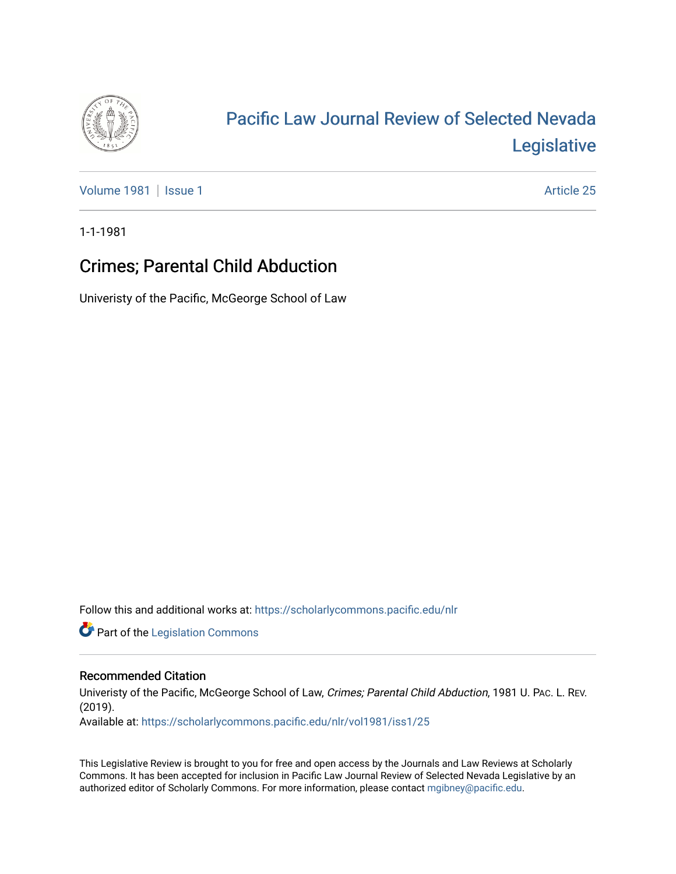

## [Pacific Law Journal Review of Selected Nevada](https://scholarlycommons.pacific.edu/nlr)  [Legislative](https://scholarlycommons.pacific.edu/nlr)

[Volume 1981](https://scholarlycommons.pacific.edu/nlr/vol1981) | [Issue 1](https://scholarlycommons.pacific.edu/nlr/vol1981/iss1) Article 25

1-1-1981

## Crimes; Parental Child Abduction

Univeristy of the Pacific, McGeorge School of Law

Follow this and additional works at: [https://scholarlycommons.pacific.edu/nlr](https://scholarlycommons.pacific.edu/nlr?utm_source=scholarlycommons.pacific.edu%2Fnlr%2Fvol1981%2Fiss1%2F25&utm_medium=PDF&utm_campaign=PDFCoverPages) 

**Part of the [Legislation Commons](http://network.bepress.com/hgg/discipline/859?utm_source=scholarlycommons.pacific.edu%2Fnlr%2Fvol1981%2Fiss1%2F25&utm_medium=PDF&utm_campaign=PDFCoverPages)** 

## Recommended Citation

Univeristy of the Pacific, McGeorge School of Law, Crimes; Parental Child Abduction, 1981 U. PAc. L. REV. (2019).

Available at: [https://scholarlycommons.pacific.edu/nlr/vol1981/iss1/25](https://scholarlycommons.pacific.edu/nlr/vol1981/iss1/25?utm_source=scholarlycommons.pacific.edu%2Fnlr%2Fvol1981%2Fiss1%2F25&utm_medium=PDF&utm_campaign=PDFCoverPages)

This Legislative Review is brought to you for free and open access by the Journals and Law Reviews at Scholarly Commons. It has been accepted for inclusion in Pacific Law Journal Review of Selected Nevada Legislative by an authorized editor of Scholarly Commons. For more information, please contact [mgibney@pacific.edu](mailto:mgibney@pacific.edu).